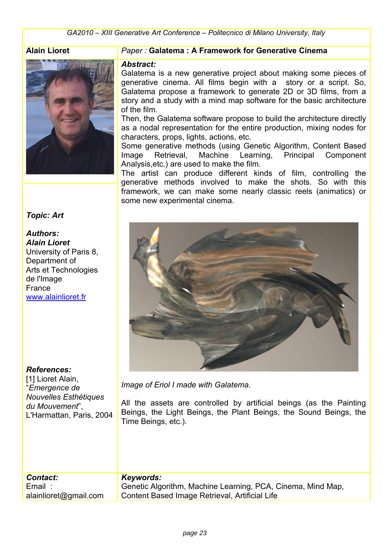*GA2010 – XIII Generative Art Conference – Politecnico di Milano University, Italy*

#### **Alain Lioret**



*Topic: Art* 

### *Authors:*

*Alain Lioret*  University of Paris 8, Department of Arts et Technologies de l'Image France [www.alainlioret.f](http://www.alainlioret.com/)r

#### *References:*

[1] Lioret Alain, "*Emergence de Nouvelles Esthétiques du Mouvement*", L'Harmattan, Paris, 2004

### *Paper :* **Galatema : A Framework for Generative Cinema**

#### *Abstract:*

Galatema is a new generative project about making some pieces of generative cinema. All films begin with a story or a script. So, Galatema propose a framework to generate 2D or 3D films, from a story and a study with a mind map software for the basic architecture of the film.

Then, the Galatema software propose to build the architecture directly as a nodal representation for the entire production, mixing nodes for characters, props, lights, actions, etc.

Some generative methods (using Genetic Algorithm, Content Based Image Retrieval, Machine Learning, Principal Component Analysis,etc.) are used to make the film.

The artist can produce different kinds of film, controlling the generative methods involved to make the shots. So with this framework, we can make some nearly classic reels (animatics) or some new experimental cinema.



*Image of Eriol I made with Galatema.* 

All the assets are controlled by artificial beings (as the Painting Beings, the Light Beings, the Plant Beings, the Sound Beings, the Time Beings, etc.).

| <b>Contact:</b>       | Keywords:                                                   |
|-----------------------|-------------------------------------------------------------|
| Email :               | Genetic Algorithm, Machine Learning, PCA, Cinema, Mind Map, |
| alainlioret@gmail.com | Content Based Image Retrieval, Artificial Life              |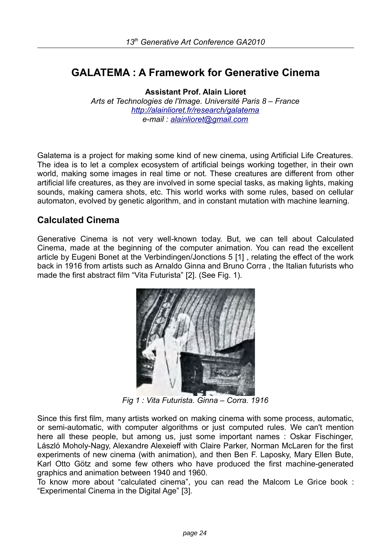# **GALATEMA : A Framework for Generative Cinema**

**Assistant Prof. Alain Lioret**  *Arts et Technologies de l'Image. Université Paris 8 – France <http://alainlioret.fr/research/galatema> e-mail : [alainlioret@gmail.com](mailto:alainlioret@gmail.com)* 

Galatema is a project for making some kind of new cinema, using Artificial Life Creatures. The idea is to let a complex ecosystem of artificial beings working together, in their own world, making some images in real time or not. These creatures are different from other artificial life creatures, as they are involved in some special tasks, as making lights, making sounds, making camera shots, etc. This world works with some rules, based on cellular automaton, evolved by genetic algorithm, and in constant mutation with machine learning.

## **Calculated Cinema**

Generative Cinema is not very well-known today. But, we can tell about Calculated Cinema, made at the beginning of the computer animation. You can read the excellent article by Eugeni Bonet at the Verbindingen/Jonctions 5 [1] , relating the effect of the work back in 1916 from artists such as Arnaldo Ginna and Bruno Corra , the Italian futurists who made the first abstract film "Vita Futurista" [2]. (See Fig. 1).



*Fig 1 : Vita Futurista. Ginna – Corra. 1916* 

Since this first film, many artists worked on making cinema with some process, automatic, or semi-automatic, with computer algorithms or just computed rules. We can't mention here all these people, but among us, just some important names : Oskar Fischinger, László Moholy-Nagy, Alexandre Alexeieff with Claire Parker, Norman McLaren for the first � experiments of new cinema (with animation), and then Ben F. Laposky, Mary Ellen Bute, Karl Otto Götz and some few others who have produced the first machine-generated graphics and animation between 1940 and 1960.

To know more about "calculated cinema", you can read the Malcom Le Grice book : "Experimental Cinema in the Digital Age" [3].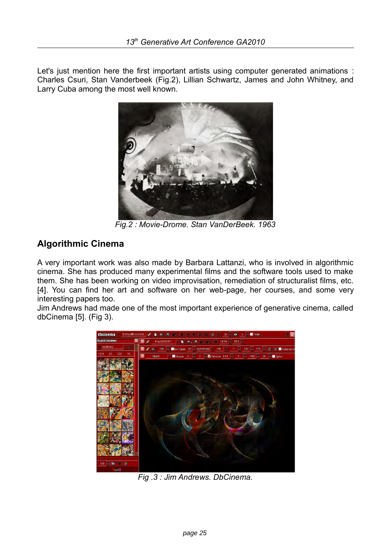Let's just mention here the first important artists using computer generated animations : Charles Csuri, Stan Vanderbeek (Fig.2), Lillian Schwartz, James and John Whitney, and Larry Cuba among the most well known.



*Fig.2 : Movie-Drome. Stan VanDerBeek. 1963* 

# **Algorithmic Cinema**

A very important work was also made by Barbara Lattanzi, who is involved in algorithmic cinema. She has produced many experimental films and the software tools used to make them. She has been working on video improvisation, remediation of structuralist films, etc. [4]. You can find her art and software on her web-page, her courses, and some very interesting papers too.

Jim Andrews had made one of the most important experience of generative cinema, called dbCinema [5]. (Fig 3).



*Fig .3 : Jim Andrews. DbCinema.*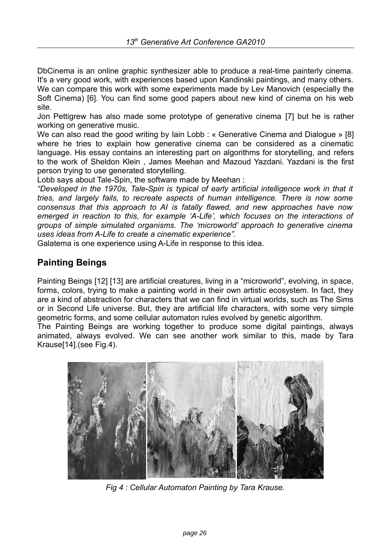DbCinema is an online graphic synthesizer able to produce a real-time painterly cinema. It's a very good work, with experiences based upon Kandinski paintings, and many others. We can compare this work with some experiments made by Lev Manovich (especially the Soft Cinema) [6]. You can find some good papers about new kind of cinema on his web site.

Jon Pettigrew has also made some prototype of generative cinema [7] but he is rather working on generative music.

We can also read the good writing by Iain Lobb : « Generative Cinema and Dialogue » [8] where he tries to explain how generative cinema can be considered as a cinematic language. His essay contains an interesting part on algorithms for storytelling, and refers to the work of Sheldon Klein , James Meehan and Mazoud Yazdani. Yazdani is the first person trying to use generated storytelling.

Lobb says about Tale-Spin, the software made by Meehan :

"Developed in the 1970s, Tale-Spin is typical of early artificial intelligence work in that it *tries, and largely fails, to recreate aspects of human intelligence. There is now some consensus that this approach to AI is fatally flawed, and new approaches have now emerged in reaction to this, for example 'A-Life', which focuses on the interactions of groups of simple simulated organisms. The 'microworld' approach to generative cinema uses ideas from A-Life to create a cinematic experience".* 

Galatema is one experience using A-Life in response to this idea.

# **Painting Beings**

Painting Beings [12] [13] are artificial creatures, living in a "microworld", evolving, in space, forms, colors, trying to make a painting world in their own artistic ecosystem. In fact, they are a kind of abstraction for characters that we can find in virtual worlds, such as The Sims or in Second Life universe. But, they are artificial life characters, with some very simple geometric forms, and some cellular automaton rules evolved by genetic algorithm.

The Painting Beings are working together to produce some digital paintings, always animated, always evolved. We can see another work similar to this, made by Tara Krause[14].(see Fig.4).



*Fig 4 : Cellular Automaton Painting by Tara Krause.*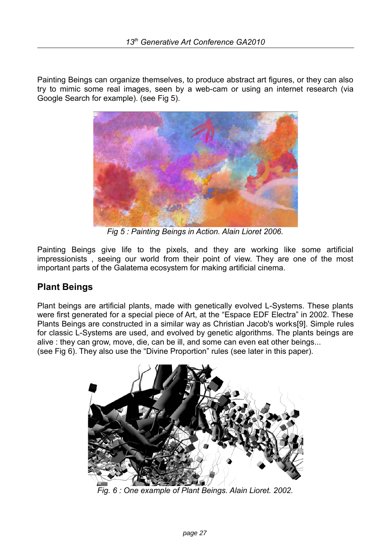Painting Beings can organize themselves, to produce abstract art figures, or they can also try to mimic some real images, seen by a web-cam or using an internet research (via Google Search for example). (see Fig 5).



*Fig 5 : Painting Beings in Action. Alain Lioret 2006.* 

Painting Beings give life to the pixels, and they are working like some artificial impressionists , seeing our world from their point of view. They are one of the most important parts of the Galatema ecosystem for making artificial cinema.

# **Plant Beings**

Plant beings are artificial plants, made with genetically evolved L-Systems. These plants were first generated for a special piece of Art, at the "Espace EDF Electra" in 2002. These Plants Beings are constructed in a similar way as Christian Jacob's works[9]. Simple rules for classic L-Systems are used, and evolved by genetic algorithms. The plants beings are alive : they can grow, move, die, can be ill, and some can even eat other beings... (see Fig 6). They also use the "Divine Proportion" rules (see later in this paper).



*Fig. 6 : One example of Plant Beings. Alain Lioret. 2002.*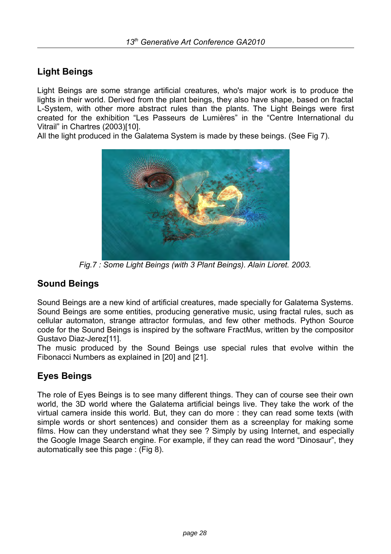# **Light Beings**

Light Beings are some strange artificial creatures, who's major work is to produce the lights in their world. Derived from the plant beings, they also have shape, based on fractal L-System, with other more abstract rules than the plants. The Light Beings were first created for the exhibition "Les Passeurs de Lumières" in the "Centre International du Vitrail" in Chartres (2003)[10].

All the light produced in the Galatema System is made by these beings. (See Fig 7).



*Fig.7 : Some Light Beings (with 3 Plant Beings). Alain Lioret. 2003.* 

# **Sound Beings**

Sound Beings are a new kind of artificial creatures, made specially for Galatema Systems. Sound Beings are some entities, producing generative music, using fractal rules, such as cellular automaton, strange attractor formulas, and few other methods. Python Source code for the Sound Beings is inspired by the software FractMus, written by the compositor Gustavo Diaz-Jerez[11].

The music produced by the Sound Beings use special rules that evolve within the Fibonacci Numbers as explained in [20] and [21].

# **Eyes Beings**

The role of Eyes Beings is to see many different things. They can of course see their own world, the 3D world where the Galatema artificial beings live. They take the work of the virtual camera inside this world. But, they can do more : they can read some texts (with simple words or short sentences) and consider them as a screenplay for making some films. How can they understand what they see ? Simply by using Internet, and especially the Google Image Search engine. For example, if they can read the word "Dinosaur", they automatically see this page : (Fig 8).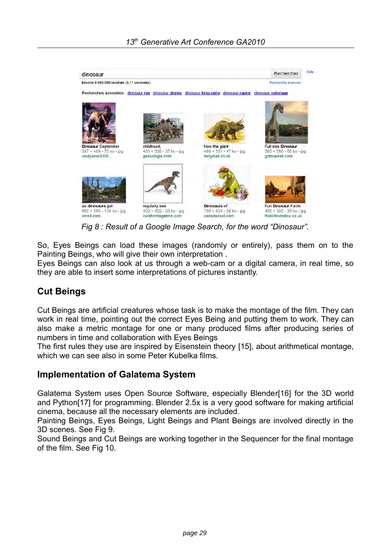

*Fig 8 : Result of a Google Image Search, for the word "Dinosaur".* 

So, Eyes Beings can load these images (randomly or entirely), pass them on to the Painting Beings, who will give their own interpretation .

Eyes Beings can also look at us through a web-cam or a digital camera, in real time, so they are able to insert some interpretations of pictures instantly.

# **Cut Beings**

Cut Beings are artificial creatures whose task is to make the montage of the film. They can work in real time, pointing out the correct Eyes Being and putting them to work. They can also make a metric montage for one or many produced films after producing series of numbers in time and collaboration with Eyes Beings

The first rules they use are inspired by Eisenstein theory [15], about arithmetical montage, which we can see also in some Peter Kubelka films.

## **Implementation of Galatema System**

Galatema System uses Open Source Software, especially Blender[16] for the 3D world and Python[17] for programming. Blender 2.5x is a very good software for making artificial cinema, because all the necessary elements are included.

Painting Beings, Eyes Beings, Light Beings and Plant Beings are involved directly in the 3D scenes. See Fig 9.

Sound Beings and Cut Beings are working together in the Sequencer for the final montage of the film. See Fig 10.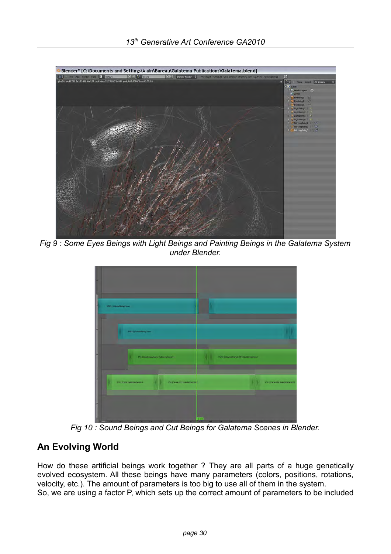

*Fig 9 : Some Eyes Beings with Light Beings and Painting Beings in the Galatema System under Blender.*

| Shki (Marshington) |                                                                    |                                      |                                  |
|--------------------|--------------------------------------------------------------------|--------------------------------------|----------------------------------|
|                    |                                                                    |                                      |                                  |
|                    | 1003 (Please Security)                                             |                                      |                                  |
|                    | 250   Gestensformt Galaxmatical                                    | 255 (Galamaticane) OCL Galamaticane) |                                  |
|                    | 250   Scene: GalatemaScene 3<br>250   Scene 001   GalatemoScen (1) |                                      | 250   Scime DD2: GalatemaScienc3 |
|                    |                                                                    |                                      |                                  |

*Fig 10 : Sound Beings and Cut Beings for Galatema Scenes in Blender.* 

# **An Evolving World**

How do these artificial beings work together ? They are all parts of a huge genetically evolved ecosystem. All these beings have many parameters (colors, positions, rotations, velocity, etc.). The amount of parameters is too big to use all of them in the system. So, we are using a factor P, which sets up the correct amount of parameters to be included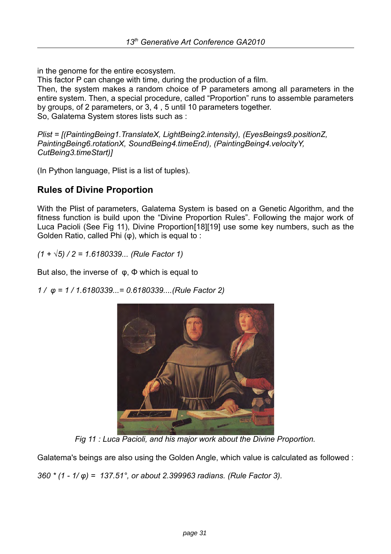in the genome for the entire ecosystem.

This factor P can change with time, during the production of a film.

Then, the system makes a random choice of P parameters among all parameters in the entire system. Then, a special procedure, called "Proportion" runs to assemble parameters by groups, of 2 parameters, or 3, 4 , 5 until 10 parameters together. So, Galatema System stores lists such as :

*Plist = [(PaintingBeing1.TranslateX, LightBeing2.intensity), (EyesBeings9.positionZ, PaintingBeing6.rotationX, SoundBeing4.timeEnd), (PaintingBeing4.velocityY, CutBeing3.timeStart)]* 

(In Python language, Plist is a list of tuples).

# **Rules of Divine Proportion**

With the Plist of parameters, Galatema System is based on a Genetic Algorithm, and the fitness function is build upon the "Divine Proportion Rules". Following the major work of Luca Pacioli (See Fig 11), Divine Proportion[18][19] use some key numbers, such as the Golden Ratio, called Phi (φ), which is equal to :

*(1 + √5) / 2 = 1.6180339... (Rule Factor 1)* 

But also, the inverse of  $φ$ ,  $φ$  which is equal to

*1 / φ = 1 / 1.6180339...= 0.6180339....(Rule Factor 2)* 



*Fig 11 : Luca Pacioli, and his major work about the Divine Proportion.* 

Galatema's beings are also using the Golden Angle, which value is calculated as followed :

*360 \* (1 - 1/ φ) = 137.51°, or about 2.399963 radians. (Rule Factor 3).*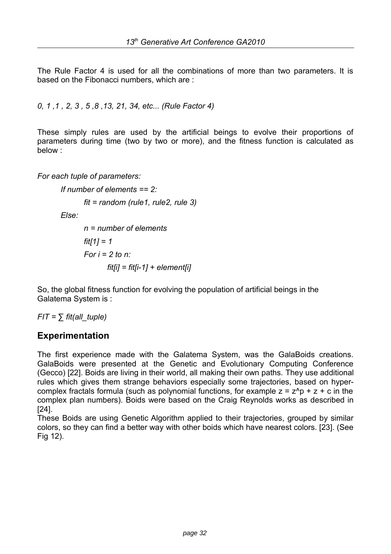The Rule Factor 4 is used for all the combinations of more than two parameters. It is based on the Fibonacci numbers, which are :

*0, 1 ,1 , 2, 3 , 5 ,8 ,13, 21, 34, etc... (Rule Factor 4)* 

These simply rules are used by the artificial beings to evolve their proportions of parameters during time (two by two or more), and the fitness function is calculated as below :

*For each tuple of parameters:* 

```
If number of elements == 2:
```

```
fit = random (rule1, rule2, rule 3)
```
*Else:* 

*n = number of elements fit[1] = 1 For i = 2 to n: fit[i] = fit[i-1] + element[i]* 

So, the global fitness function for evolving the population of artificial beings in the Galatema System is :

 $FIT = \sum \text{fit}(\text{all} \text{ tuple})$ 

## **Experimentation**

The first experience made with the Galatema System, was the GalaBoids creations. GalaBoids were presented at the Genetic and Evolutionary Computing Conference (Gecco) [22]. Boids are living in their world, all making their own paths. They use additional rules which gives them strange behaviors especially some trajectories, based on hypercomplex fractals formula (such as polynomial functions, for example  $z = z^p + z + c$  in the complex plan numbers). Boids were based on the Craig Reynolds works as described in [24].

These Boids are using Genetic Algorithm applied to their trajectories, grouped by similar colors, so they can find a better way with other boids which have nearest colors. [23]. (See Fig 12).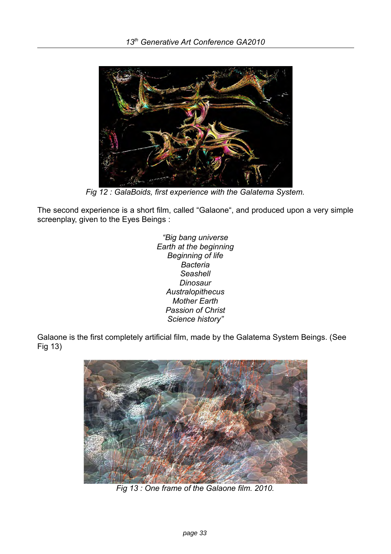

*Fig 12 : GalaBoids, first experience with the Galatema System.* 

The second experience is a short film, called "Galaone", and produced upon a very simple screenplay, given to the Eyes Beings :

> *"Big bang universe Earth at the beginning Beginning of life Bacteria Seashell Dinosaur Australopithecus Mother Earth Passion of Christ Science history"*

Galaone is the first completely artificial film, made by the Galatema System Beings. (See Fig 13)



*Fig 13 : One frame of the Galaone film. 2010.*